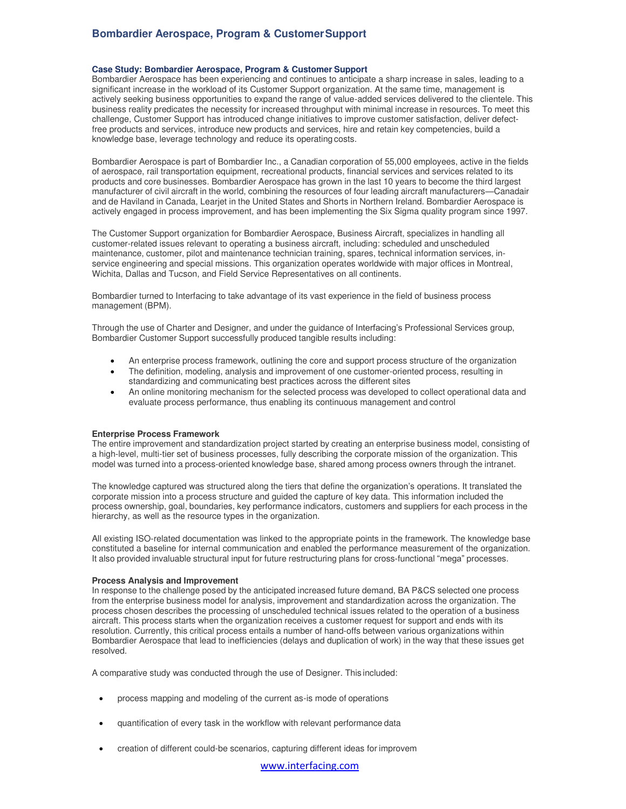# **Bombardier Aerospace, Program & Customer Support**

#### **Case Study: Bombardier Aerospace, Program & Customer Support**

Bombardier Aerospace has been experiencing and continues to anticipate a sharp increase in sales, leading to a significant increase in the workload of its Customer Support organization. At the same time, management is actively seeking business opportunities to expand the range of value-added services delivered to the clientele. This business reality predicates the necessity for increased throughput with minimal increase in resources. To meet this challenge, Customer Support has introduced change initiatives to improve customer satisfaction, deliver defectfree products and services, introduce new products and services, hire and retain key competencies, build a knowledge base, leverage technology and reduce its operating costs.

Bombardier Aerospace is part of Bombardier Inc., a Canadian corporation of 55,000 employees, active in the fields of aerospace, rail transportation equipment, recreational products, financial services and services related to its products and core businesses. Bombardier Aerospace has grown in the last 10 years to become the third largest manufacturer of civil aircraft in the world, combining the resources of four leading aircraft manufacturers—Canadair and de Haviland in Canada, Learjet in the United States and Shorts in Northern Ireland. Bombardier Aerospace is actively engaged in process improvement, and has been implementing the Six Sigma quality program since 1997.

The Customer Support organization for Bombardier Aerospace, Business Aircraft, specializes in handling all customer-related issues relevant to operating a business aircraft, including: scheduled and unscheduled maintenance, customer, pilot and maintenance technician training, spares, technical information services, inservice engineering and special missions. This organization operates worldwide with major offices in Montreal, Wichita, Dallas and Tucson, and Field Service Representatives on all continents.

Bombardier turned to Interfacing to take advantage of its vast experience in the field of business process management (BPM).

Through the use of Charter and Designer, and under the guidance of Interfacing's Professional Services group, Bombardier Customer Support successfully produced tangible results including:

- An enterprise process framework, outlining the core and support process structure of the organization
- The definition, modeling, analysis and improvement of one customer-oriented process, resulting in standardizing and communicating best practices across the different sites
- An online monitoring mechanism for the selected process was developed to collect operational data and evaluate process performance, thus enabling its continuous management and control

#### **Enterprise Process Framework**

The entire improvement and standardization project started by creating an enterprise business model, consisting of a high-level, multi-tier set of business processes, fully describing the corporate mission of the organization. This model was turned into a process-oriented knowledge base, shared among process owners through the intranet.

The knowledge captured was structured along the tiers that define the organization's operations. It translated the corporate mission into a process structure and guided the capture of key data. This information included the process ownership, goal, boundaries, key performance indicators, customers and suppliers for each process in the hierarchy, as well as the resource types in the organization.

All existing ISO-related documentation was linked to the appropriate points in the framework. The knowledge base constituted a baseline for internal communication and enabled the performance measurement of the organization. It also provided invaluable structural input for future restructuring plans for cross-functional "mega" processes.

## **Process Analysis and Improvement**

In response to the challenge posed by the anticipated increased future demand, BA P&CS selected one process from the enterprise business model for analysis, improvement and standardization across the organization. The process chosen describes the processing of unscheduled technical issues related to the operation of a business aircraft. This process starts when the organization receives a customer request for support and ends with its resolution. Currently, this critical process entails a number of hand-offs between various organizations within Bombardier Aerospace that lead to inefficiencies (delays and duplication of work) in the way that these issues get resolved.

A comparative study was conducted through the use of Designer. This included:

- process mapping and modeling of the current as-is mode of operations
- quantification of every task in the workflow with relevant performance data
- creation of different could-be scenarios, capturing different ideas for improvem